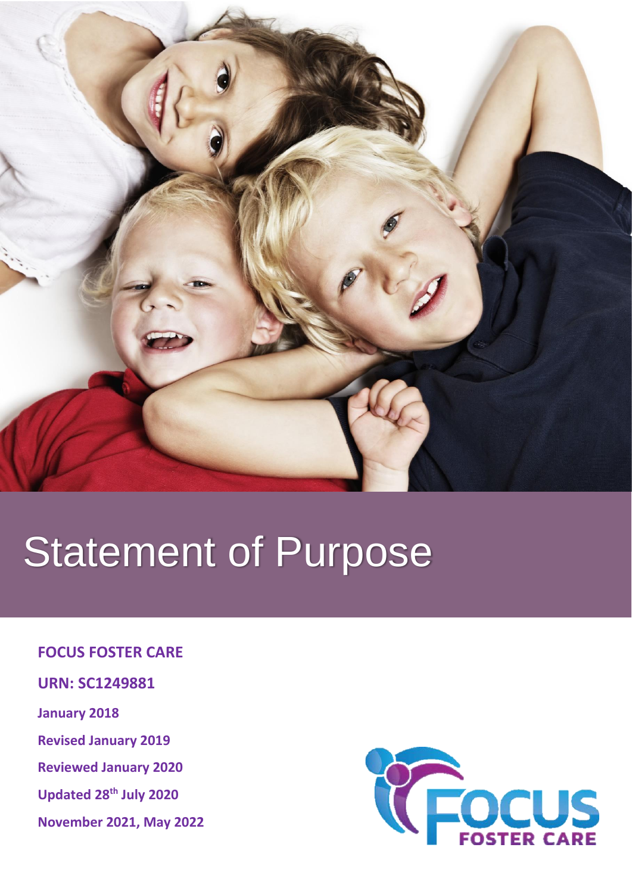

# Statement of Purpose

### **FOCUS FOSTER CARE**

- **URN: SC1249881**
- **January 2018**
- **Revised January 2019**
- **Reviewed January 2020**
- **Updated 28th July 2020**
- **November 2021, May 2022**

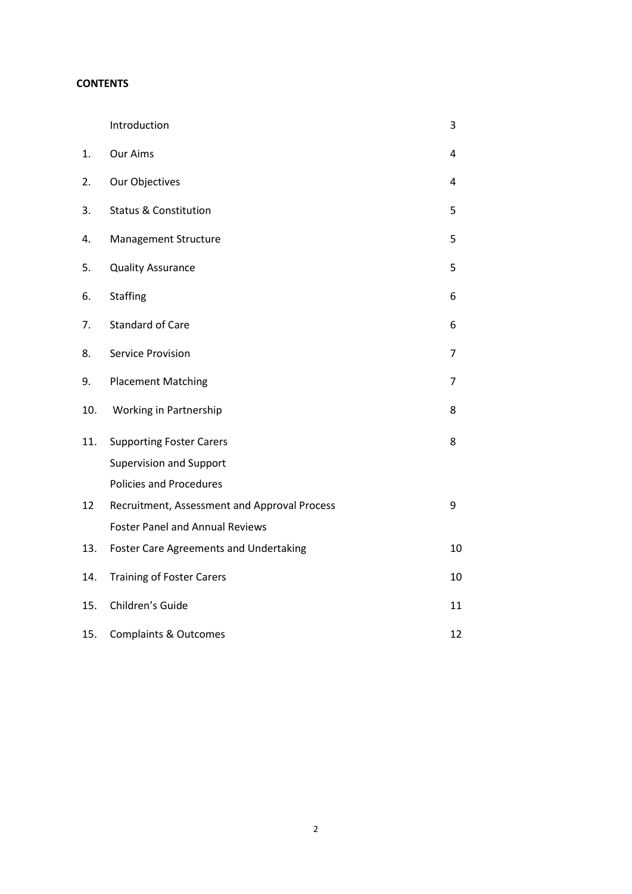#### **CONTENTS**

|     | Introduction                                  | 3  |
|-----|-----------------------------------------------|----|
| 1.  | Our Aims                                      | 4  |
| 2.  | Our Objectives                                | 4  |
| 3.  | <b>Status &amp; Constitution</b>              | 5  |
| 4.  | <b>Management Structure</b>                   | 5  |
| 5.  | <b>Quality Assurance</b>                      | 5  |
| 6.  | <b>Staffing</b>                               | 6  |
| 7.  | <b>Standard of Care</b>                       | 6  |
| 8.  | <b>Service Provision</b>                      | 7  |
| 9.  | <b>Placement Matching</b>                     | 7  |
| 10. | Working in Partnership                        | 8  |
| 11. | <b>Supporting Foster Carers</b>               | 8  |
|     | <b>Supervision and Support</b>                |    |
|     | <b>Policies and Procedures</b>                |    |
| 12  | Recruitment, Assessment and Approval Process  | 9  |
|     | <b>Foster Panel and Annual Reviews</b>        |    |
| 13. | <b>Foster Care Agreements and Undertaking</b> | 10 |
| 14. | <b>Training of Foster Carers</b>              | 10 |
| 15. | Children's Guide                              | 11 |
| 15. | <b>Complaints &amp; Outcomes</b>              | 12 |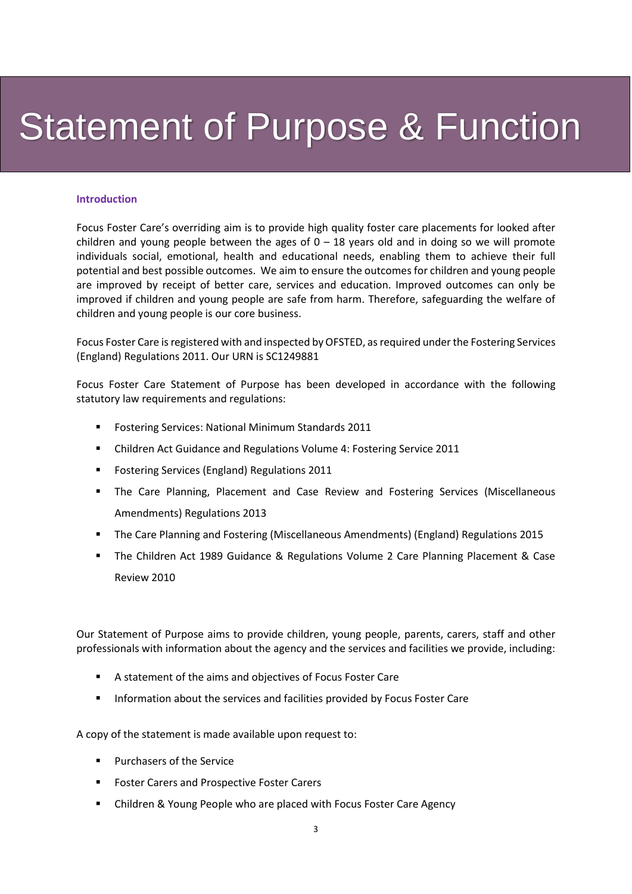## Statement of Purpose & Function

#### **Introduction**

Focus Foster Care's overriding aim is to provide high quality foster care placements for looked after children and young people between the ages of  $0 - 18$  years old and in doing so we will promote individuals social, emotional, health and educational needs, enabling them to achieve their full potential and best possible outcomes. We aim to ensure the outcomes for children and young people are improved by receipt of better care, services and education. Improved outcomes can only be improved if children and young people are safe from harm. Therefore, safeguarding the welfare of children and young people is our core business.

Focus Foster Care is registered with and inspected by OFSTED, as required under the Fostering Services (England) Regulations 2011. Our URN is SC1249881

Focus Foster Care Statement of Purpose has been developed in accordance with the following statutory law requirements and regulations:

- Fostering Services: National Minimum Standards 2011
- Children Act Guidance and Regulations Volume 4: Fostering Service 2011
- Fostering Services (England) Regulations 2011
- **•** The Care Planning, Placement and Case Review and Fostering Services (Miscellaneous Amendments) Regulations 2013
- The Care Planning and Fostering (Miscellaneous Amendments) (England) Regulations 2015
- The Children Act 1989 Guidance & Regulations Volume 2 Care Planning Placement & Case Review 2010

Our Statement of Purpose aims to provide children, young people, parents, carers, staff and other professionals with information about the agency and the services and facilities we provide, including:

- A statement of the aims and objectives of Focus Foster Care
- Information about the services and facilities provided by Focus Foster Care

A copy of the statement is made available upon request to:

- Purchasers of the Service
- Foster Carers and Prospective Foster Carers
- Children & Young People who are placed with Focus Foster Care Agency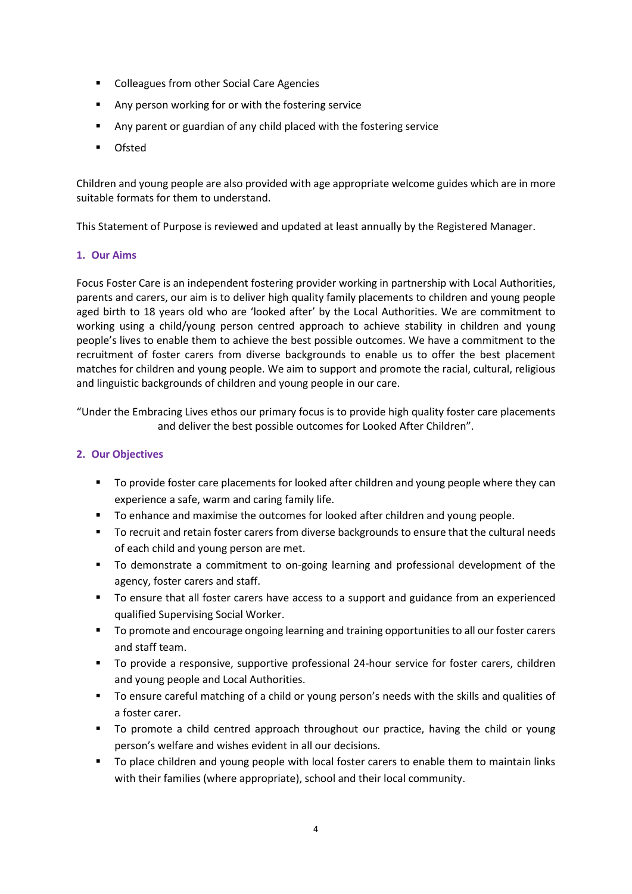- Colleagues from other Social Care Agencies
- Any person working for or with the fostering service
- Any parent or guardian of any child placed with the fostering service
- Ofsted

Children and young people are also provided with age appropriate welcome guides which are in more suitable formats for them to understand.

This Statement of Purpose is reviewed and updated at least annually by the Registered Manager.

#### **1. Our Aims**

Focus Foster Care is an independent fostering provider working in partnership with Local Authorities, parents and carers, our aim is to deliver high quality family placements to children and young people aged birth to 18 years old who are 'looked after' by the Local Authorities. We are commitment to working using a child/young person centred approach to achieve stability in children and young people's lives to enable them to achieve the best possible outcomes. We have a commitment to the recruitment of foster carers from diverse backgrounds to enable us to offer the best placement matches for children and young people. We aim to support and promote the racial, cultural, religious and linguistic backgrounds of children and young people in our care.

"Under the Embracing Lives ethos our primary focus is to provide high quality foster care placements and deliver the best possible outcomes for Looked After Children".

#### **2. Our Objectives**

- To provide foster care placements for looked after children and young people where they can experience a safe, warm and caring family life.
- To enhance and maximise the outcomes for looked after children and young people.
- To recruit and retain foster carers from diverse backgrounds to ensure that the cultural needs of each child and young person are met.
- To demonstrate a commitment to on-going learning and professional development of the agency, foster carers and staff.
- To ensure that all foster carers have access to a support and guidance from an experienced qualified Supervising Social Worker.
- To promote and encourage ongoing learning and training opportunities to all our foster carers and staff team.
- To provide a responsive, supportive professional 24-hour service for foster carers, children and young people and Local Authorities.
- To ensure careful matching of a child or young person's needs with the skills and qualities of a foster carer.
- To promote a child centred approach throughout our practice, having the child or young person's welfare and wishes evident in all our decisions.
- To place children and young people with local foster carers to enable them to maintain links with their families (where appropriate), school and their local community.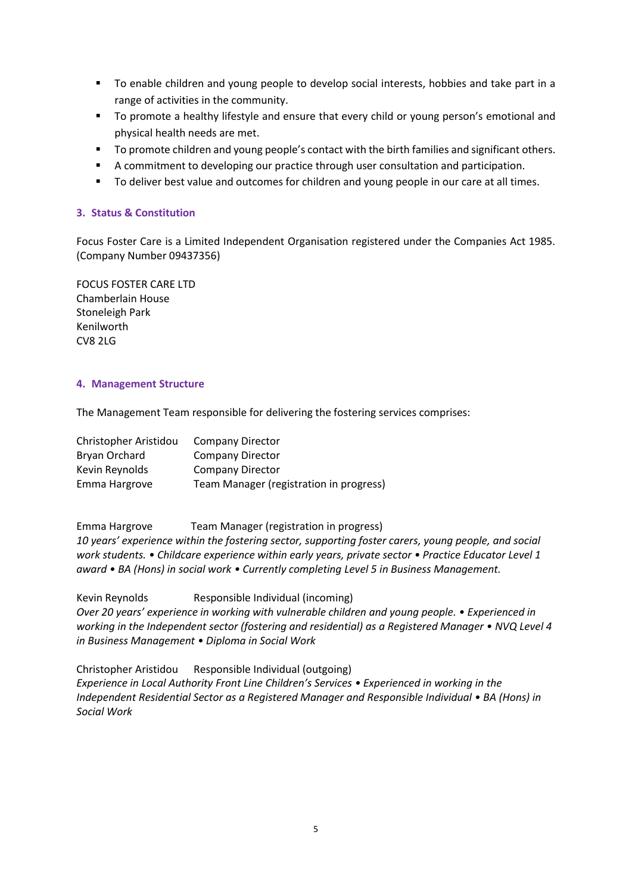- To enable children and young people to develop social interests, hobbies and take part in a range of activities in the community.
- To promote a healthy lifestyle and ensure that every child or young person's emotional and physical health needs are met.
- To promote children and young people's contact with the birth families and significant others.
- **E** A commitment to developing our practice through user consultation and participation.
- To deliver best value and outcomes for children and young people in our care at all times.

#### **3. Status & Constitution**

Focus Foster Care is a Limited Independent Organisation registered under the Companies Act 1985. (Company Number 09437356)

FOCUS FOSTER CARE LTD Chamberlain House Stoneleigh Park Kenilworth CV8 2LG

#### **4. Management Structure**

The Management Team responsible for delivering the fostering services comprises:

| Christopher Aristidou | <b>Company Director</b>                 |
|-----------------------|-----------------------------------------|
| Bryan Orchard         | Company Director                        |
| Kevin Reynolds        | <b>Company Director</b>                 |
| Emma Hargrove         | Team Manager (registration in progress) |

Emma Hargrove Team Manager (registration in progress) *10 years' experience within the fostering sector, supporting foster carers, young people, and social work students. • Childcare experience within early years, private sector • Practice Educator Level 1 award • BA (Hons) in social work • Currently completing Level 5 in Business Management.*

Kevin Reynolds Responsible Individual (incoming) *Over 20 years' experience in working with vulnerable children and young people. • Experienced in working in the Independent sector (fostering and residential) as a Registered Manager • NVQ Level 4 in Business Management • Diploma in Social Work* 

Christopher Aristidou Responsible Individual (outgoing) *Experience in Local Authority Front Line Children's Services • Experienced in working in the Independent Residential Sector as a Registered Manager and Responsible Individual • BA (Hons) in Social Work*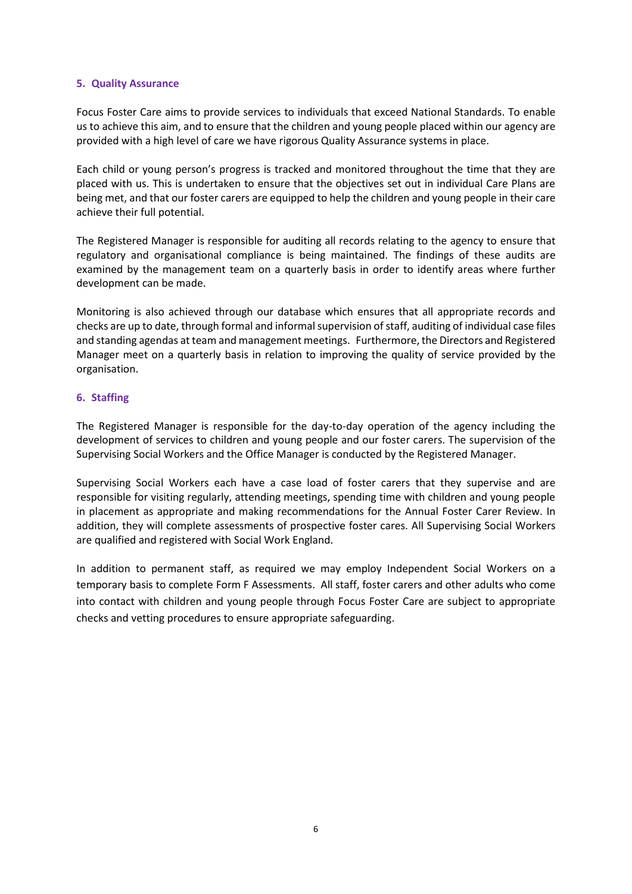#### **5. Quality Assurance**

Focus Foster Care aims to provide services to individuals that exceed National Standards. To enable us to achieve this aim, and to ensure that the children and young people placed within our agency are provided with a high level of care we have rigorous Quality Assurance systems in place.

Each child or young person's progress is tracked and monitored throughout the time that they are placed with us. This is undertaken to ensure that the objectives set out in individual Care Plans are being met, and that our foster carers are equipped to help the children and young people in their care achieve their full potential.

The Registered Manager is responsible for auditing all records relating to the agency to ensure that regulatory and organisational compliance is being maintained. The findings of these audits are examined by the management team on a quarterly basis in order to identify areas where further development can be made.

Monitoring is also achieved through our database which ensures that all appropriate records and checks are up to date, through formal and informal supervision of staff, auditing of individual case files and standing agendas at team and management meetings. Furthermore,the Directors and Registered Manager meet on a quarterly basis in relation to improving the quality of service provided by the organisation.

#### **6. Staffing**

The Registered Manager is responsible for the day-to-day operation of the agency including the development of services to children and young people and our foster carers. The supervision of the Supervising Social Workers and the Office Manager is conducted by the Registered Manager.

Supervising Social Workers each have a case load of foster carers that they supervise and are responsible for visiting regularly, attending meetings, spending time with children and young people in placement as appropriate and making recommendations for the Annual Foster Carer Review. In addition, they will complete assessments of prospective foster cares. All Supervising Social Workers are qualified and registered with Social Work England.

In addition to permanent staff, as required we may employ Independent Social Workers on a temporary basis to complete Form F Assessments. All staff, foster carers and other adults who come into contact with children and young people through Focus Foster Care are subject to appropriate checks and vetting procedures to ensure appropriate safeguarding.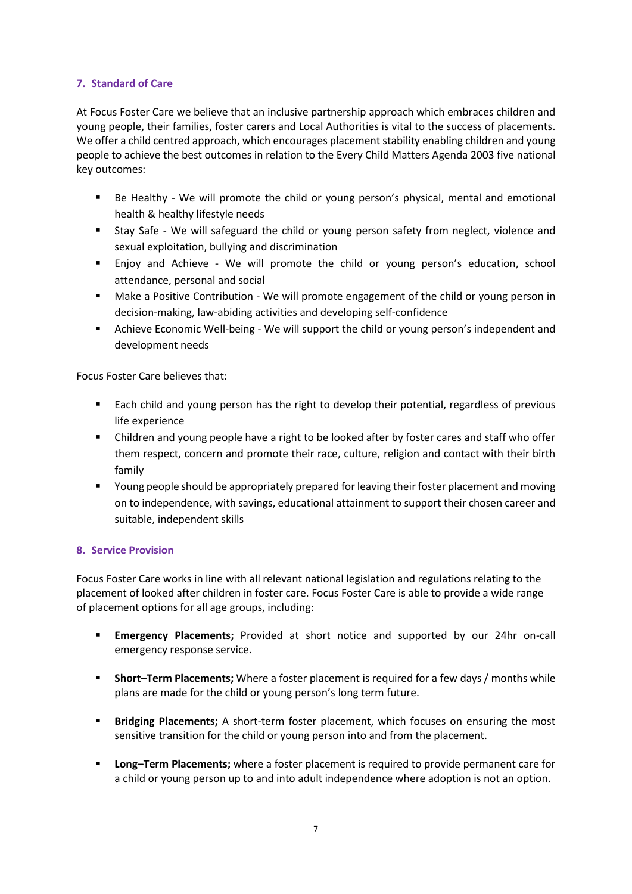#### **7. Standard of Care**

At Focus Foster Care we believe that an inclusive partnership approach which embraces children and young people, their families, foster carers and Local Authorities is vital to the success of placements. We offer a child centred approach, which encourages placement stability enabling children and young people to achieve the best outcomes in relation to the Every Child Matters Agenda 2003 five national key outcomes:

- Be Healthy We will promote the child or young person's physical, mental and emotional health & healthy lifestyle needs
- Stay Safe We will safeguard the child or young person safety from neglect, violence and sexual exploitation, bullying and discrimination
- Enjoy and Achieve We will promote the child or young person's education, school attendance, personal and social
- Make a Positive Contribution We will promote engagement of the child or young person in decision-making, law-abiding activities and developing self-confidence
- **EX** Achieve Economic Well-being We will support the child or young person's independent and development needs

Focus Foster Care believes that:

- Each child and young person has the right to develop their potential, regardless of previous life experience
- **•** Children and young people have a right to be looked after by foster cares and staff who offer them respect, concern and promote their race, culture, religion and contact with their birth family
- Young people should be appropriately prepared for leaving their foster placement and moving on to independence, with savings, educational attainment to support their chosen career and suitable, independent skills

#### **8. Service Provision**

Focus Foster Care works in line with all relevant national legislation and regulations relating to the placement of looked after children in foster care. Focus Foster Care is able to provide a wide range of placement options for all age groups, including:

- **Emergency Placements;** Provided at short notice and supported by our 24hr on-call emergency response service.
- **EXP** Short-Term Placements; Where a foster placement is required for a few days / months while plans are made for the child or young person's long term future.
- **Bridging Placements;** A short-term foster placement, which focuses on ensuring the most sensitive transition for the child or young person into and from the placement.
- **Long–Term Placements;** where a foster placement is required to provide permanent care for a child or young person up to and into adult independence where adoption is not an option.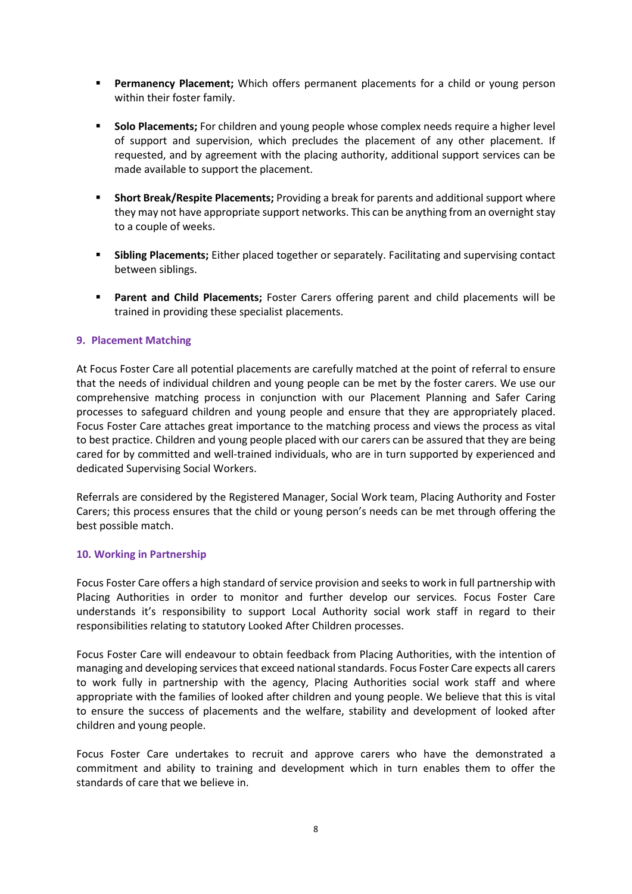- **Permanency Placement;** Which offers permanent placements for a child or young person within their foster family.
- **Solo Placements;** For children and young people whose complex needs require a higher level of support and supervision, which precludes the placement of any other placement. If requested, and by agreement with the placing authority, additional support services can be made available to support the placement.
- **Short Break/Respite Placements;** Providing a break for parents and additional support where they may not have appropriate support networks. This can be anything from an overnight stay to a couple of weeks.
- **Sibling Placements;** Either placed together or separately. Facilitating and supervising contact between siblings.
- **Parent and Child Placements;** Foster Carers offering parent and child placements will be trained in providing these specialist placements.

#### **9. Placement Matching**

At Focus Foster Care all potential placements are carefully matched at the point of referral to ensure that the needs of individual children and young people can be met by the foster carers. We use our comprehensive matching process in conjunction with our Placement Planning and Safer Caring processes to safeguard children and young people and ensure that they are appropriately placed. Focus Foster Care attaches great importance to the matching process and views the process as vital to best practice. Children and young people placed with our carers can be assured that they are being cared for by committed and well-trained individuals, who are in turn supported by experienced and dedicated Supervising Social Workers.

Referrals are considered by the Registered Manager, Social Work team, Placing Authority and Foster Carers; this process ensures that the child or young person's needs can be met through offering the best possible match.

#### **10. Working in Partnership**

Focus Foster Care offers a high standard of service provision and seeks to work in full partnership with Placing Authorities in order to monitor and further develop our services. Focus Foster Care understands it's responsibility to support Local Authority social work staff in regard to their responsibilities relating to statutory Looked After Children processes.

Focus Foster Care will endeavour to obtain feedback from Placing Authorities, with the intention of managing and developing services that exceed national standards. Focus Foster Care expects all carers to work fully in partnership with the agency, Placing Authorities social work staff and where appropriate with the families of looked after children and young people. We believe that this is vital to ensure the success of placements and the welfare, stability and development of looked after children and young people.

Focus Foster Care undertakes to recruit and approve carers who have the demonstrated a commitment and ability to training and development which in turn enables them to offer the standards of care that we believe in.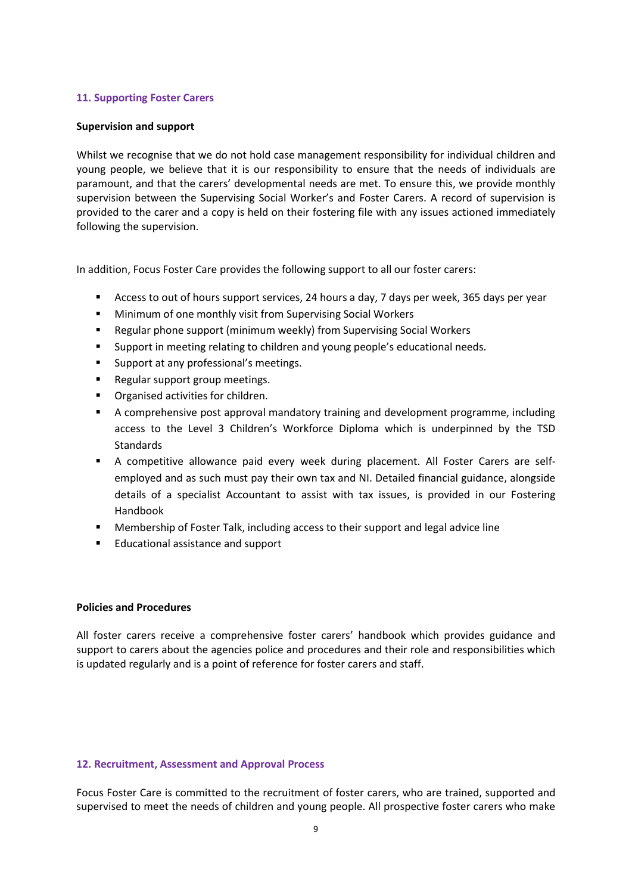#### **11. Supporting Foster Carers**

#### **Supervision and support**

Whilst we recognise that we do not hold case management responsibility for individual children and young people, we believe that it is our responsibility to ensure that the needs of individuals are paramount, and that the carers' developmental needs are met. To ensure this, we provide monthly supervision between the Supervising Social Worker's and Foster Carers. A record of supervision is provided to the carer and a copy is held on their fostering file with any issues actioned immediately following the supervision.

In addition, Focus Foster Care provides the following support to all our foster carers:

- Access to out of hours support services, 24 hours a day, 7 days per week, 365 days per year
- Minimum of one monthly visit from Supervising Social Workers
- Regular phone support (minimum weekly) from Supervising Social Workers
- Support in meeting relating to children and young people's educational needs.
- Support at any professional's meetings.
- Regular support group meetings.
- Organised activities for children.
- **■** A comprehensive post approval mandatory training and development programme, including access to the Level 3 Children's Workforce Diploma which is underpinned by the TSD Standards
- A competitive allowance paid every week during placement. All Foster Carers are selfemployed and as such must pay their own tax and NI. Detailed financial guidance, alongside details of a specialist Accountant to assist with tax issues, is provided in our Fostering Handbook
- Membership of Foster Talk, including access to their support and legal advice line
- Educational assistance and support

#### **Policies and Procedures**

All foster carers receive a comprehensive foster carers' handbook which provides guidance and support to carers about the agencies police and procedures and their role and responsibilities which is updated regularly and is a point of reference for foster carers and staff.

#### **12. Recruitment, Assessment and Approval Process**

Focus Foster Care is committed to the recruitment of foster carers, who are trained, supported and supervised to meet the needs of children and young people. All prospective foster carers who make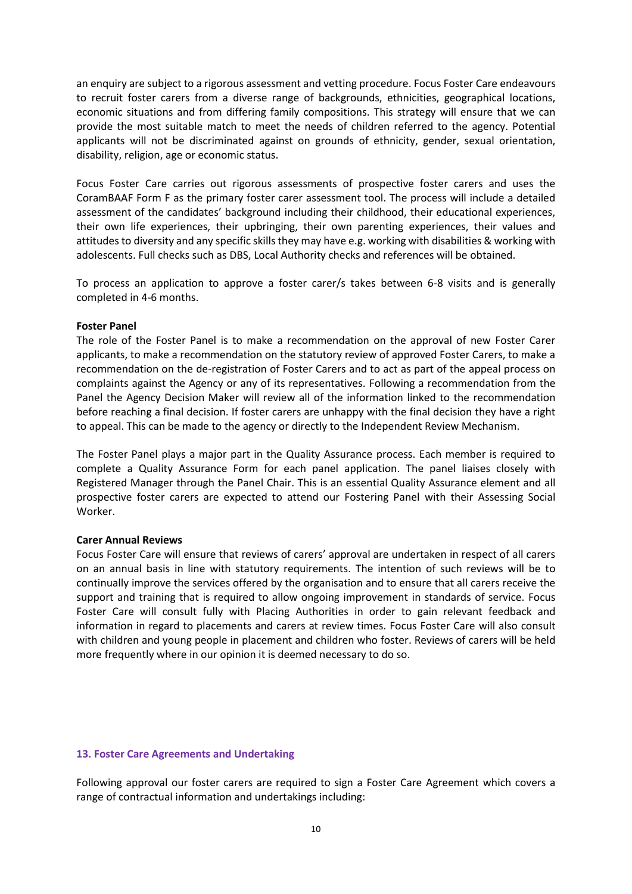an enquiry are subject to a rigorous assessment and vetting procedure. Focus Foster Care endeavours to recruit foster carers from a diverse range of backgrounds, ethnicities, geographical locations, economic situations and from differing family compositions. This strategy will ensure that we can provide the most suitable match to meet the needs of children referred to the agency. Potential applicants will not be discriminated against on grounds of ethnicity, gender, sexual orientation, disability, religion, age or economic status.

Focus Foster Care carries out rigorous assessments of prospective foster carers and uses the CoramBAAF Form F as the primary foster carer assessment tool. The process will include a detailed assessment of the candidates' background including their childhood, their educational experiences, their own life experiences, their upbringing, their own parenting experiences, their values and attitudes to diversity and any specific skills they may have e.g. working with disabilities & working with adolescents. Full checks such as DBS, Local Authority checks and references will be obtained.

To process an application to approve a foster carer/s takes between 6-8 visits and is generally completed in 4-6 months.

#### **Foster Panel**

The role of the Foster Panel is to make a recommendation on the approval of new Foster Carer applicants, to make a recommendation on the statutory review of approved Foster Carers, to make a recommendation on the de-registration of Foster Carers and to act as part of the appeal process on complaints against the Agency or any of its representatives. Following a recommendation from the Panel the Agency Decision Maker will review all of the information linked to the recommendation before reaching a final decision. If foster carers are unhappy with the final decision they have a right to appeal. This can be made to the agency or directly to the Independent Review Mechanism.

The Foster Panel plays a major part in the Quality Assurance process. Each member is required to complete a Quality Assurance Form for each panel application. The panel liaises closely with Registered Manager through the Panel Chair. This is an essential Quality Assurance element and all prospective foster carers are expected to attend our Fostering Panel with their Assessing Social Worker.

#### **Carer Annual Reviews**

Focus Foster Care will ensure that reviews of carers' approval are undertaken in respect of all carers on an annual basis in line with statutory requirements. The intention of such reviews will be to continually improve the services offered by the organisation and to ensure that all carers receive the support and training that is required to allow ongoing improvement in standards of service. Focus Foster Care will consult fully with Placing Authorities in order to gain relevant feedback and information in regard to placements and carers at review times. Focus Foster Care will also consult with children and young people in placement and children who foster. Reviews of carers will be held more frequently where in our opinion it is deemed necessary to do so.

#### **13. Foster Care Agreements and Undertaking**

Following approval our foster carers are required to sign a Foster Care Agreement which covers a range of contractual information and undertakings including: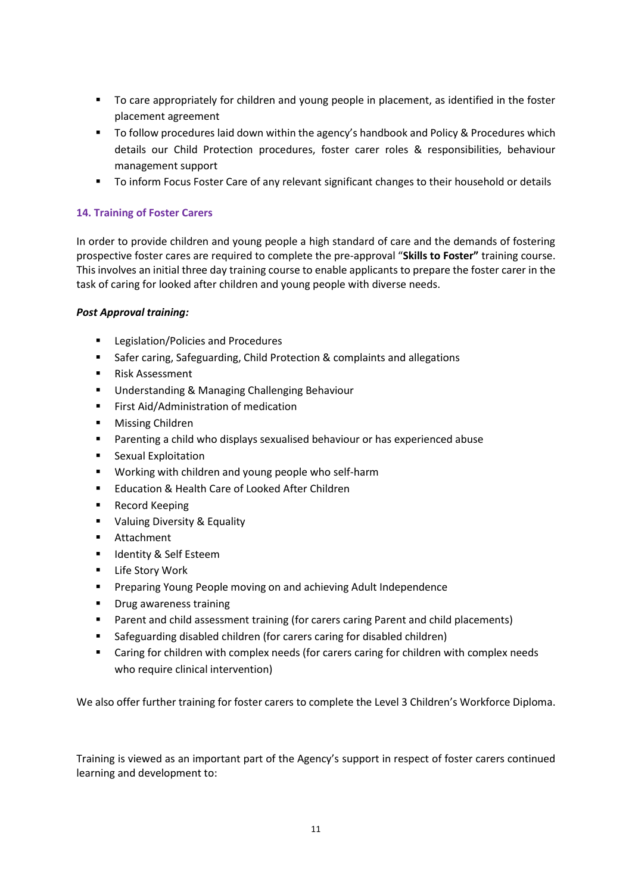- To care appropriately for children and young people in placement, as identified in the foster placement agreement
- To follow procedures laid down within the agency's handbook and Policy & Procedures which details our Child Protection procedures, foster carer roles & responsibilities, behaviour management support
- **•** To inform Focus Foster Care of any relevant significant changes to their household or details

#### **14. Training of Foster Carers**

In order to provide children and young people a high standard of care and the demands of fostering prospective foster cares are required to complete the pre-approval "**Skills to Foster"** training course. This involves an initial three day training course to enable applicants to prepare the foster carer in the task of caring for looked after children and young people with diverse needs.

#### *Post Approval training:*

- Legislation/Policies and Procedures
- Safer caring, Safeguarding, Child Protection & complaints and allegations
- Risk Assessment
- Understanding & Managing Challenging Behaviour
- **■** First Aid/Administration of medication
- Missing Children
- Parenting a child who displays sexualised behaviour or has experienced abuse
- Sexual Exploitation
- Working with children and young people who self-harm
- Education & Health Care of Looked After Children
- Record Keeping
- Valuing Diversity & Equality
- Attachment
- Identity & Self Esteem
- Life Story Work
- Preparing Young People moving on and achieving Adult Independence
- Drug awareness training
- Parent and child assessment training (for carers caring Parent and child placements)
- Safeguarding disabled children (for carers caring for disabled children)
- Caring for children with complex needs (for carers caring for children with complex needs who require clinical intervention)

We also offer further training for foster carers to complete the Level 3 Children's Workforce Diploma.

Training is viewed as an important part of the Agency's support in respect of foster carers continued learning and development to: